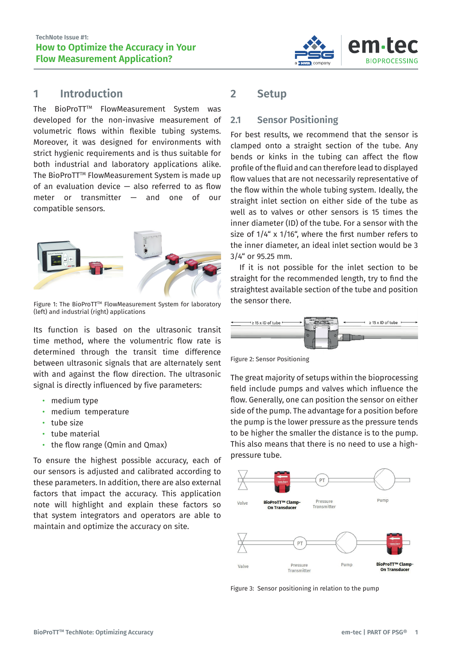

### **1 Introduction**

The BioProTT<sup>™</sup> FlowMeasurement System was developed for the non-invasive measurement of volumetric flows within flexible tubing systems. Moreover, it was designed for environments with strict hygienic requirements and is thus suitable for both industrial and laboratory applications alike. The BioProTT™ FlowMeasurement System is made up of an evaluation device — also referred to as flow meter or transmitter — and one of our compatible sensors.



Figure 1: The BioProTT™ FlowMeasurement System for laboratory (left) and industrial (right) applications

Its function is based on the ultrasonic transit time method, where the volumentric flow rate is determined through the transit time difference between ultrasonic signals that are alternately sent with and against the flow direction. The ultrasonic signal is directly influenced by five parameters:

- medium type
- medium temperature
- tube size
- tube material
- the flow range (Qmin and Qmax)

To ensure the highest possible accuracy, each of our sensors is adjusted and calibrated according to these parameters. In addition, there are also external factors that impact the accuracy. This application note will highlight and explain these factors so that system integrators and operators are able to maintain and optimize the accuracy on site.

## **2 Setup**

#### **2.1 Sensor Positioning**

For best results, we recommend that the sensor is clamped onto a straight section of the tube. Any bends or kinks in the tubing can affect the flow profile of the fluid and can therefore lead to displayed flow values that are not necessarily representative of the flow within the whole tubing system. Ideally, the straight inlet section on either side of the tube as well as to valves or other sensors is 15 times the inner diameter (ID) of the tube. For a sensor with the size of 1/4" x 1/16", where the first number refers to the inner diameter, an ideal inlet section would be 3 3/4" or 95.25 mm.

If it is not possible for the inlet section to be straight for the recommended length, try to find the straightest available section of the tube and position the sensor there.



Figure 2: Sensor Positioning

The great majority of setups within the bioprocessing field include pumps and valves which influence the flow. Generally, one can position the sensor on either side of the pump. The advantage for a position before the pump is the lower pressure as the pressure tends to be higher the smaller the distance is to the pump. This also means that there is no need to use a highpressure tube.



Figure 3: Sensor positioning in relation to the pump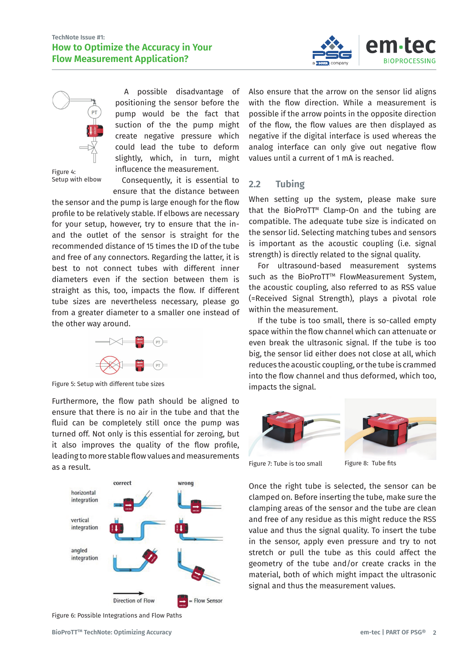



Figure 4: Setup with elbow

A possible disadvantage of positioning the sensor before the pump would be the fact that suction of the the pump might create negative pressure which could lead the tube to deform slightly, which, in turn, might influcence the measurement.

Consequently, it is essential to ensure that the distance between

the sensor and the pump is large enough for the flow profile to be relatively stable. If elbows are necessary for your setup, however, try to ensure that the inand the outlet of the sensor is straight for the recommended distance of 15 times the ID of the tube and free of any connectors. Regarding the latter, it is best to not connect tubes with different inner diameters even if the section between them is straight as this, too, impacts the flow. If different tube sizes are nevertheless necessary, please go from a greater diameter to a smaller one instead of the other way around.



Figure 5: Setup with different tube sizes

Furthermore, the flow path should be aligned to ensure that there is no air in the tube and that the fluid can be completely still once the pump was turned off. Not only is this essential for zeroing, but it also improves the quality of the flow profile, leading to more stable flow values and measurements as a result.



Figure 6: Possible Integrations and Flow Paths

Also ensure that the arrow on the sensor lid aligns with the flow direction. While a measurement is possible if the arrow points in the opposite direction of the flow, the flow values are then displayed as negative if the digital interface is used whereas the analog interface can only give out negative flow values until a current of 1 mA is reached.

#### **2.2 Tubing**

When setting up the system, please make sure that the BioProTT<sup>™</sup> Clamp-On and the tubing are compatible. The adequate tube size is indicated on the sensor lid. Selecting matching tubes and sensors is important as the acoustic coupling (i.e. signal strength) is directly related to the signal quality.

For ultrasound-based measurement systems such as the BioProTT<sup>™</sup> FlowMeasurement System. the acoustic coupling, also referred to as RSS value (=Received Signal Strength), plays a pivotal role within the measurement.

If the tube is too small, there is so-called empty space within the flow channel which can attenuate or even break the ultrasonic signal. If the tube is too big, the sensor lid either does not close at all, which reduces the acoustic coupling, or the tube is crammed into the flow channel and thus deformed, which too. impacts the signal.



Figure 7: Tube is too small Figure 8: Tube fits

Once the right tube is selected, the sensor can be clamped on. Before inserting the tube, make sure the clamping areas of the sensor and the tube are clean and free of any residue as this might reduce the RSS value and thus the signal quality. To insert the tube in the sensor, apply even pressure and try to not stretch or pull the tube as this could affect the geometry of the tube and/or create cracks in the material, both of which might impact the ultrasonic signal and thus the measurement values.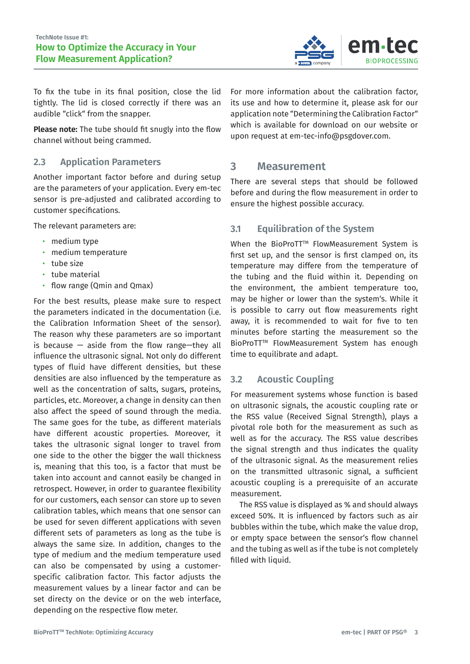

To fix the tube in its final position, close the lid tightly. The lid is closed correctly if there was an audible "click" from the snapper.

**Please note:** The tube should fit snugly into the flow channel without being crammed.

#### **2.3 Application Parameters**

Another important factor before and during setup are the parameters of your application. Every em-tec sensor is pre-adjusted and calibrated according to customer specifications.

The relevant parameters are:

- medium type
- medium temperature
- tube size
- tube material
- flow range (Qmin and Qmax)

For the best results, please make sure to respect the parameters indicated in the documentation (i.e. the Calibration Information Sheet of the sensor). The reason why these parameters are so important is because  $-$  aside from the flow range—they all influence the ultrasonic signal. Not only do different types of fluid have different densities, but these densities are also influenced by the temperature as well as the concentration of salts, sugars, proteins, particles, etc. Moreover, a change in density can then also affect the speed of sound through the media. The same goes for the tube, as different materials have different acoustic properties. Moreover, it takes the ultrasonic signal longer to travel from one side to the other the bigger the wall thickness is, meaning that this too, is a factor that must be taken into account and cannot easily be changed in retrospect. However, in order to guarantee flexibility for our customers, each sensor can store up to seven calibration tables, which means that one sensor can be used for seven different applications with seven different sets of parameters as long as the tube is always the same size. In addition, changes to the type of medium and the medium temperature used can also be compensated by using a customerspecific calibration factor. This factor adjusts the measurement values by a linear factor and can be set directy on the device or on the web interface, depending on the respective flow meter.

For more information about the calibration factor, its use and how to determine it, please ask for our application note "Determining the Calibration Factor" which is available for download on our website or upon request at em-tec-info@psgdover.com.

#### **3 Measurement**

There are several steps that should be followed before and during the flow measurement in order to ensure the highest possible accuracy.

#### **3.1 Equilibration of the System**

When the BioProTT™ FlowMeasurement System is first set up, and the sensor is first clamped on, its temperature may differe from the temperature of the tubing and the fluid within it. Depending on the environment, the ambient temperature too, may be higher or lower than the system's. While it is possible to carry out flow measurements right away, it is recommended to wait for five to ten minutes before starting the measurement so the BioProTT™ FlowMeasurement System has enough time to equilibrate and adapt.

#### **3.2 Acoustic Coupling**

For measurement systems whose function is based on ultrasonic signals, the acoustic coupling rate or the RSS value (Received Signal Strength), plays a pivotal role both for the measurement as such as well as for the accuracy. The RSS value describes the signal strength and thus indicates the quality of the ultrasonic signal. As the measurement relies on the transmitted ultrasonic signal, a sufficient acoustic coupling is a prerequisite of an accurate measurement.

The RSS value is displayed as % and should always exceed 50%. It is influenced by factors such as air bubbles within the tube, which make the value drop, or empty space between the sensor's flow channel and the tubing as well as if the tube is not completely filled with liquid.